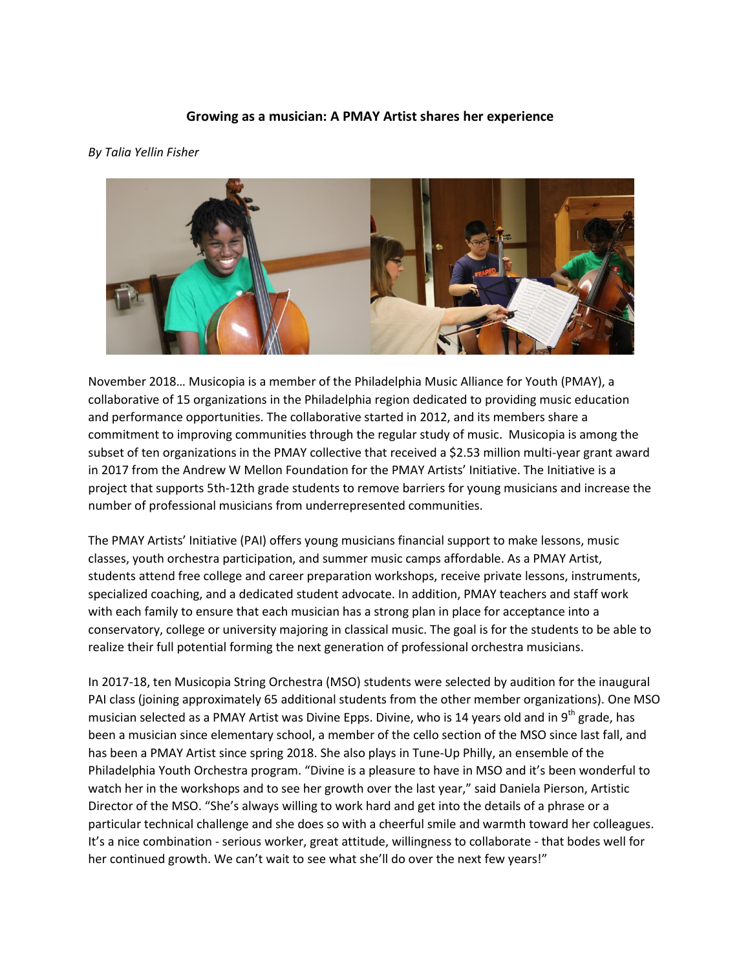## **Growing as a musician: A PMAY Artist shares her experience**

## *By Talia Yellin Fisher*



November 2018… Musicopia is a member of the Philadelphia Music Alliance for Youth (PMAY), a collaborative of 15 organizations in the Philadelphia region dedicated to providing music education and performance opportunities. The collaborative started in 2012, and its members share a commitment to improving communities through the regular study of music. Musicopia is among the subset of ten organizations in the PMAY collective that received a \$2.53 million multi-year grant award in 2017 from the Andrew W Mellon Foundation for the PMAY Artists' Initiative. The Initiative is a project that supports 5th-12th grade students to remove barriers for young musicians and increase the number of professional musicians from underrepresented communities.

The PMAY Artists' Initiative (PAI) offers young musicians financial support to make lessons, music classes, youth orchestra participation, and summer music camps affordable. As a PMAY Artist, students attend free college and career preparation workshops, receive private lessons, instruments, specialized coaching, and a dedicated student advocate. In addition, PMAY teachers and staff work with each family to ensure that each musician has a strong plan in place for acceptance into a conservatory, college or university majoring in classical music. The goal is for the students to be able to realize their full potential forming the next generation of professional orchestra musicians.

In 2017-18, ten Musicopia String Orchestra (MSO) students were selected by audition for the inaugural PAI class (joining approximately 65 additional students from the other member organizations). One MSO musician selected as a PMAY Artist was Divine Epps. Divine, who is 14 years old and in 9<sup>th</sup> grade, has been a musician since elementary school, a member of the cello section of the MSO since last fall, and has been a PMAY Artist since spring 2018. She also plays in Tune-Up Philly, an ensemble of the Philadelphia Youth Orchestra program. "Divine is a pleasure to have in MSO and it's been wonderful to watch her in the workshops and to see her growth over the last year," said Daniela Pierson, Artistic Director of the MSO. "She's always willing to work hard and get into the details of a phrase or a particular technical challenge and she does so with a cheerful smile and warmth toward her colleagues. It's a nice combination - serious worker, great attitude, willingness to collaborate - that bodes well for her continued growth. We can't wait to see what she'll do over the next few years!"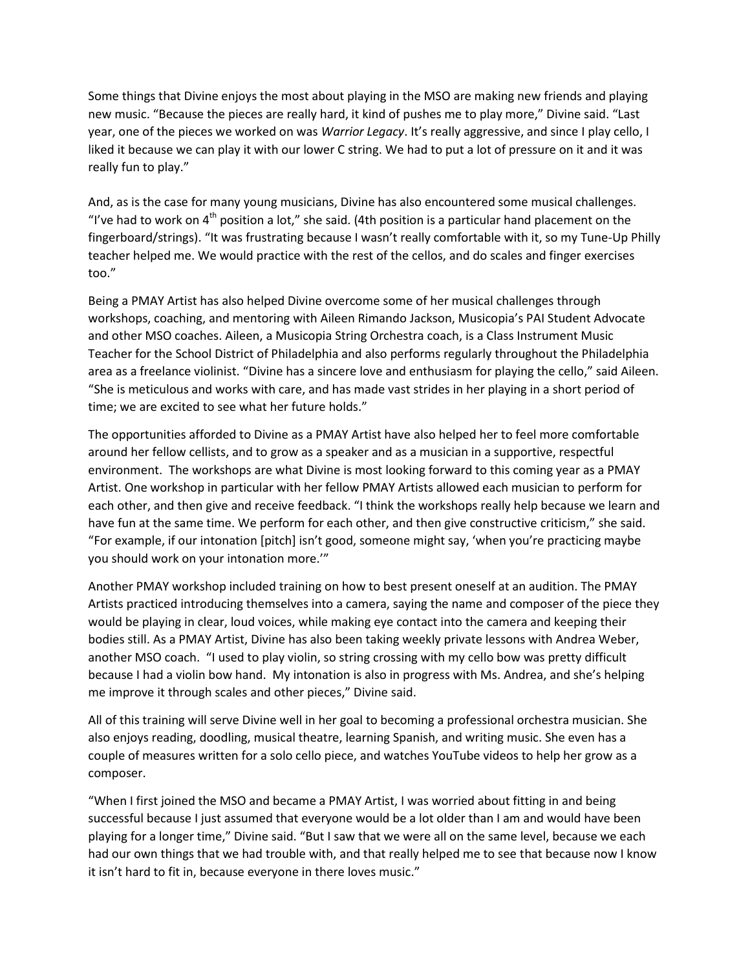Some things that Divine enjoys the most about playing in the MSO are making new friends and playing new music. "Because the pieces are really hard, it kind of pushes me to play more," Divine said. "Last year, one of the pieces we worked on was *Warrior Legacy*. It's really aggressive, and since I play cello, I liked it because we can play it with our lower C string. We had to put a lot of pressure on it and it was really fun to play."

And, as is the case for many young musicians, Divine has also encountered some musical challenges. "I've had to work on  $4<sup>th</sup>$  position a lot," she said. (4th position is a particular hand placement on the fingerboard/strings). "It was frustrating because I wasn't really comfortable with it, so my Tune-Up Philly teacher helped me. We would practice with the rest of the cellos, and do scales and finger exercises too."

Being a PMAY Artist has also helped Divine overcome some of her musical challenges through workshops, coaching, and mentoring with Aileen Rimando Jackson, Musicopia's PAI Student Advocate and other MSO coaches. Aileen, a Musicopia String Orchestra coach, is a Class Instrument Music Teacher for the School District of Philadelphia and also performs regularly throughout the Philadelphia area as a freelance violinist. "Divine has a sincere love and enthusiasm for playing the cello," said Aileen. "She is meticulous and works with care, and has made vast strides in her playing in a short period of time; we are excited to see what her future holds."

The opportunities afforded to Divine as a PMAY Artist have also helped her to feel more comfortable around her fellow cellists, and to grow as a speaker and as a musician in a supportive, respectful environment. The workshops are what Divine is most looking forward to this coming year as a PMAY Artist. One workshop in particular with her fellow PMAY Artists allowed each musician to perform for each other, and then give and receive feedback. "I think the workshops really help because we learn and have fun at the same time. We perform for each other, and then give constructive criticism," she said. "For example, if our intonation [pitch] isn't good, someone might say, 'when you're practicing maybe you should work on your intonation more.'"

Another PMAY workshop included training on how to best present oneself at an audition. The PMAY Artists practiced introducing themselves into a camera, saying the name and composer of the piece they would be playing in clear, loud voices, while making eye contact into the camera and keeping their bodies still. As a PMAY Artist, Divine has also been taking weekly private lessons with Andrea Weber, another MSO coach. "I used to play violin, so string crossing with my cello bow was pretty difficult because I had a violin bow hand. My intonation is also in progress with Ms. Andrea, and she's helping me improve it through scales and other pieces," Divine said.

All of this training will serve Divine well in her goal to becoming a professional orchestra musician. She also enjoys reading, doodling, musical theatre, learning Spanish, and writing music. She even has a couple of measures written for a solo cello piece, and watches YouTube videos to help her grow as a composer.

"When I first joined the MSO and became a PMAY Artist, I was worried about fitting in and being successful because I just assumed that everyone would be a lot older than I am and would have been playing for a longer time," Divine said. "But I saw that we were all on the same level, because we each had our own things that we had trouble with, and that really helped me to see that because now I know it isn't hard to fit in, because everyone in there loves music."